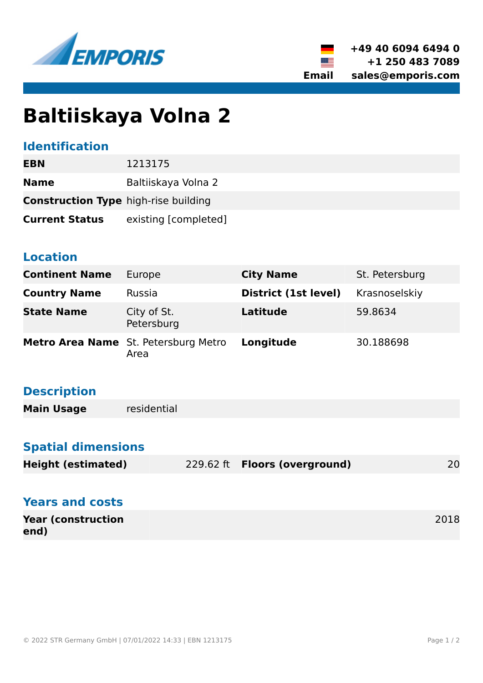



# **Baltiiskaya Volna 2**

### **Identification**

| EBN                                         | 1213175              |  |
|---------------------------------------------|----------------------|--|
| <b>Name</b>                                 | Baltiiskaya Volna 2  |  |
| <b>Construction Type high-rise building</b> |                      |  |
| <b>Current Status</b>                       | existing [completed] |  |

#### **Location**

| <b>Continent Name</b> | Europe                                              | <b>City Name</b>     | St. Petersburg |
|-----------------------|-----------------------------------------------------|----------------------|----------------|
| <b>Country Name</b>   | Russia                                              | District (1st level) | Krasnoselskiy  |
| <b>State Name</b>     | City of St.<br>Petersburg                           | Latitude             | 59.8634        |
|                       | <b>Metro Area Name</b> St. Petersburg Metro<br>Area | Longitude            | 30.188698      |

# **Description**

| <b>Main Usage</b> | residential |  |
|-------------------|-------------|--|
|-------------------|-------------|--|

## **Spatial dimensions**

|                           |                                      | 20 |
|---------------------------|--------------------------------------|----|
| <b>Height (estimated)</b> | 229.62 ft <b>Floors (overground)</b> |    |

| <b>Years and costs</b>            |      |
|-----------------------------------|------|
| <b>Year (construction</b><br>end) | 2018 |